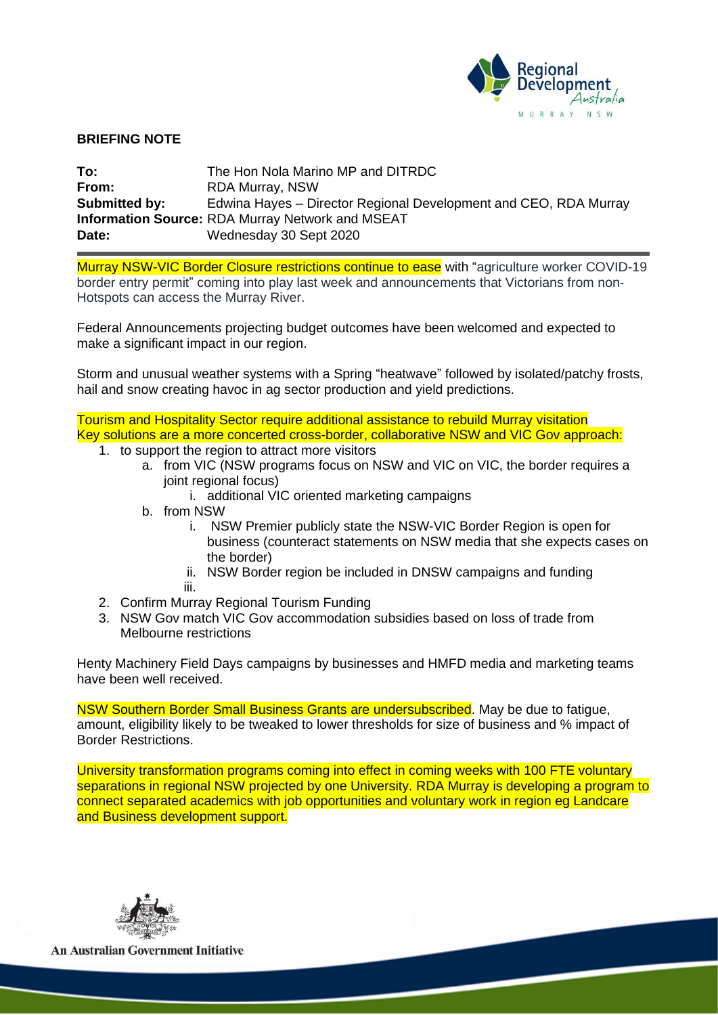

## **BRIEFING NOTE**

| To:           | The Hon Nola Marino MP and DITRDC                                |
|---------------|------------------------------------------------------------------|
| From:         | RDA Murray, NSW                                                  |
| Submitted by: | Edwina Hayes – Director Regional Development and CEO, RDA Murray |
|               | <b>Information Source: RDA Murray Network and MSEAT</b>          |
| Date:         | Wednesday 30 Sept 2020                                           |

Murray NSW-VIC Border Closure restrictions continue to ease with "agriculture worker COVID-19 border entry permit" coming into play last week and announcements that Victorians from non-Hotspots can access the Murray River.

Federal Announcements projecting budget outcomes have been welcomed and expected to make a significant impact in our region.

Storm and unusual weather systems with a Spring "heatwave" followed by isolated/patchy frosts, hail and snow creating havoc in ag sector production and yield predictions.

Tourism and Hospitality Sector require additional assistance to rebuild Murray visitation Key solutions are a more concerted cross-border, collaborative NSW and VIC Gov approach:

- 1. to support the region to attract more visitors
	- a. from VIC (NSW programs focus on NSW and VIC on VIC, the border requires a joint regional focus)
		- i. additional VIC oriented marketing campaigns
	- b. from NSW
		- i. NSW Premier publicly state the NSW-VIC Border Region is open for business (counteract statements on NSW media that she expects cases on the border)
		- ii. NSW Border region be included in DNSW campaigns and funding
		- iii.
- 2. Confirm Murray Regional Tourism Funding
- 3. NSW Gov match VIC Gov accommodation subsidies based on loss of trade from Melbourne restrictions

Henty Machinery Field Days campaigns by businesses and HMFD media and marketing teams have been well received.

NSW Southern Border Small Business Grants are undersubscribed. May be due to fatigue, amount, eligibility likely to be tweaked to lower thresholds for size of business and % impact of Border Restrictions.

University transformation programs coming into effect in coming weeks with 100 FTE voluntary separations in regional NSW projected by one University. RDA Murray is developing a program to connect separated academics with job opportunities and voluntary work in region eg Landcare and Business development support.



**An Australian Government Initiative**